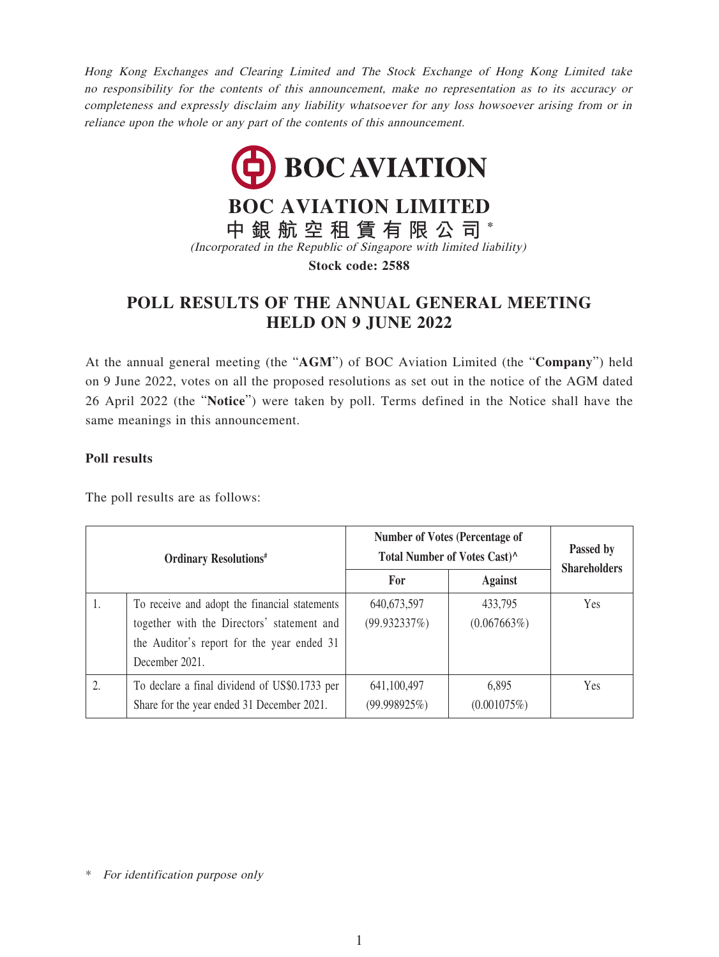Hong Kong Exchanges and Clearing Limited and The Stock Exchange of Hong Kong Limited take no responsibility for the contents of this announcement, make no representation as to its accuracy or completeness and expressly disclaim any liability whatsoever for any loss howsoever arising from or in reliance upon the whole or any part of the contents of this announcement.



## **POLL RESULTS OF THE ANNUAL GENERAL MEETING HELD ON 9 JUNE 2022**

At the annual general meeting (the "**AGM**") of BOC Aviation Limited (the "**Company**") held on 9 June 2022, votes on all the proposed resolutions as set out in the notice of the AGM dated 26 April 2022 (the "**Notice**") were taken by poll. Terms defined in the Notice shall have the same meanings in this announcement.

## **Poll results**

The poll results are as follows:

| <b>Ordinary Resolutions</b> # |                                                                                                                                                             | <b>Number of Votes (Percentage of</b><br>Total Number of Votes Cast)^ |                        | Passed by<br><b>Shareholders</b> |
|-------------------------------|-------------------------------------------------------------------------------------------------------------------------------------------------------------|-----------------------------------------------------------------------|------------------------|----------------------------------|
|                               |                                                                                                                                                             | For                                                                   | <b>Against</b>         |                                  |
| 1.                            | To receive and adopt the financial statements<br>together with the Directors' statement and<br>the Auditor's report for the year ended 31<br>December 2021. | 640, 673, 597<br>(99.932337%)                                         | 433,795<br>(0.067663%) | Yes                              |
| 2.                            | To declare a final dividend of US\$0.1733 per<br>Share for the year ended 31 December 2021.                                                                 | 641,100,497<br>(99.998925%)                                           | 6,895<br>(0.001075%)   | Yes                              |

\* For identification purpose only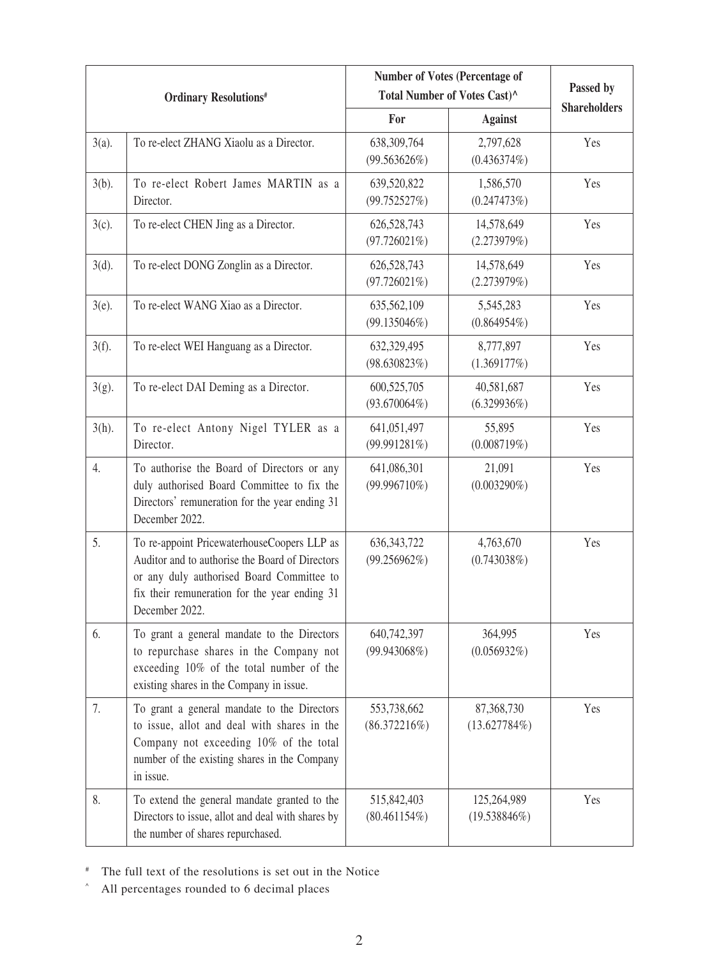| <b>Ordinary Resolutions</b> # |                                                                                                                                                                                                                | <b>Number of Votes (Percentage of</b><br>Total Number of Votes Cast)^ |                              | Passed by           |
|-------------------------------|----------------------------------------------------------------------------------------------------------------------------------------------------------------------------------------------------------------|-----------------------------------------------------------------------|------------------------------|---------------------|
|                               |                                                                                                                                                                                                                | For                                                                   | <b>Against</b>               | <b>Shareholders</b> |
| $3(a)$ .                      | To re-elect ZHANG Xiaolu as a Director.                                                                                                                                                                        | 638,309,764<br>(99.563626%)                                           | 2,797,628<br>$(0.436374\%)$  | Yes                 |
| $3(b)$ .                      | To re-elect Robert James MARTIN as a<br>Director.                                                                                                                                                              | 639,520,822<br>(99.752527%)                                           | 1,586,570<br>(0.247473%)     | Yes                 |
| $3(c)$ .                      | To re-elect CHEN Jing as a Director.                                                                                                                                                                           | 626,528,743<br>$(97.726021\%)$                                        | 14,578,649<br>(2.273979%)    | Yes                 |
| $3(d)$ .                      | To re-elect DONG Zonglin as a Director.                                                                                                                                                                        | 626,528,743<br>$(97.726021\%)$                                        | 14,578,649<br>(2.273979%)    | Yes                 |
| $3(e)$ .                      | To re-elect WANG Xiao as a Director.                                                                                                                                                                           | 635,562,109<br>$(99.135046\%)$                                        | 5,545,283<br>$(0.864954\%)$  | Yes                 |
| $3(f)$ .                      | To re-elect WEI Hanguang as a Director.                                                                                                                                                                        | 632,329,495<br>(98.630823%)                                           | 8,777,897<br>(1.369177%)     | Yes                 |
| $3(g)$ .                      | To re-elect DAI Deming as a Director.                                                                                                                                                                          | 600,525,705<br>$(93.670064\%)$                                        | 40,581,687<br>$(6.329936\%)$ | Yes                 |
| $3(h)$ .                      | To re-elect Antony Nigel TYLER as a<br>Director.                                                                                                                                                               | 641,051,497<br>(99.991281%)                                           | 55,895<br>(0.008719%)        | Yes                 |
| 4.                            | To authorise the Board of Directors or any<br>duly authorised Board Committee to fix the<br>Directors' remuneration for the year ending 31<br>December 2022.                                                   | 641,086,301<br>$(99.996710\%)$                                        | 21,091<br>$(0.003290\%)$     | Yes                 |
| 5.                            | To re-appoint PricewaterhouseCoopers LLP as<br>Auditor and to authorise the Board of Directors<br>or any duly authorised Board Committee to<br>fix their remuneration for the year ending 31<br>December 2022. | 636, 343, 722<br>$(99.256962\%)$                                      | 4,763,670<br>(0.743038%)     | Yes                 |
| 6.                            | To grant a general mandate to the Directors<br>to repurchase shares in the Company not<br>exceeding 10% of the total number of the<br>existing shares in the Company in issue.                                 | 640,742,397<br>(99.943068%)                                           | 364,995<br>(0.056932%)       | Yes                 |
| 7.                            | To grant a general mandate to the Directors<br>to issue, allot and deal with shares in the<br>Company not exceeding 10% of the total<br>number of the existing shares in the Company<br>in issue.              | 553,738,662<br>$(86.372216\%)$                                        | 87,368,730<br>(13.627784%)   | Yes                 |
| 8.                            | To extend the general mandate granted to the<br>Directors to issue, allot and deal with shares by<br>the number of shares repurchased.                                                                         | 515,842,403<br>$(80.461154\%)$                                        | 125,264,989<br>(19.538846%)  | Yes                 |

# The full text of the resolutions is set out in the Notice

^ All percentages rounded to 6 decimal places